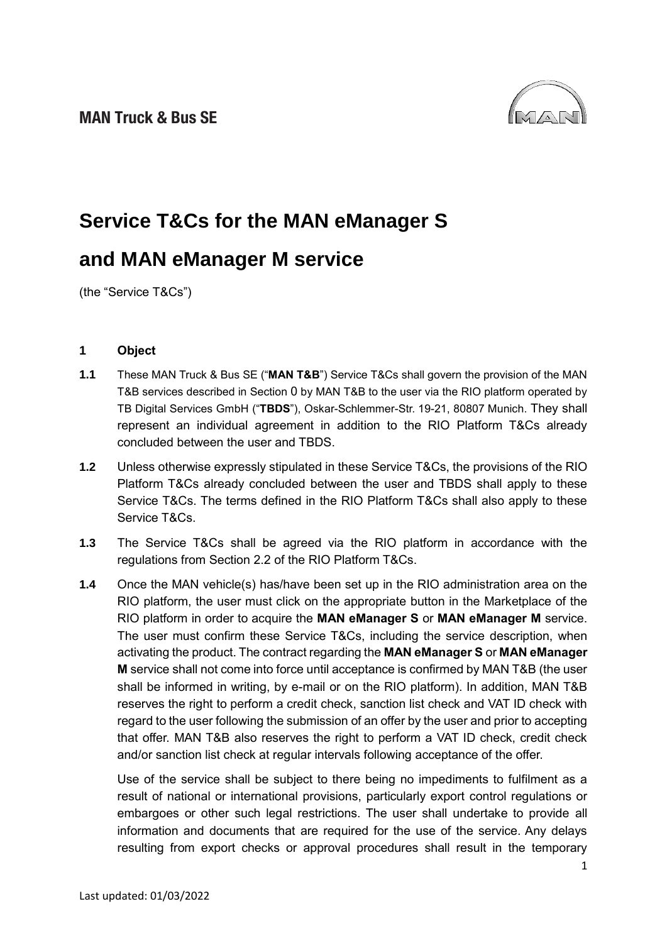

# **Service T&Cs for the MAN eManager S and MAN eManager M service**

(the "Service T&Cs")

## **1 Object**

- **1.1** These MAN Truck & Bus SE ("**MAN T&B**") Service T&Cs shall govern the provision of the MAN T&B services described in Section [0](#page-1-0) by MAN T&B to the user via the RIO platform operated by TB Digital Services GmbH ("**TBDS**"), Oskar-Schlemmer-Str. 19-21, 80807 Munich. They shall represent an individual agreement in addition to the RIO Platform T&Cs already concluded between the user and TBDS.
- **1.2** Unless otherwise expressly stipulated in these Service T&Cs, the provisions of the RIO Platform T&Cs already concluded between the user and TBDS shall apply to these Service T&Cs. The terms defined in the RIO Platform T&Cs shall also apply to these Service T&Cs.
- **1.3** The Service T&Cs shall be agreed via the RIO platform in accordance with the regulations from Section 2.2 of the RIO Platform T&Cs.
- **1.4** Once the MAN vehicle(s) has/have been set up in the RIO administration area on the RIO platform, the user must click on the appropriate button in the Marketplace of the RIO platform in order to acquire the **MAN eManager S** or **MAN eManager M** service. The user must confirm these Service T&Cs, including the service description, when activating the product. The contract regarding the **MAN eManager S** or **MAN eManager M** service shall not come into force until acceptance is confirmed by MAN T&B (the user shall be informed in writing, by e-mail or on the RIO platform). In addition, MAN T&B reserves the right to perform a credit check, sanction list check and VAT ID check with regard to the user following the submission of an offer by the user and prior to accepting that offer. MAN T&B also reserves the right to perform a VAT ID check, credit check and/or sanction list check at regular intervals following acceptance of the offer.

Use of the service shall be subject to there being no impediments to fulfilment as a result of national or international provisions, particularly export control regulations or embargoes or other such legal restrictions. The user shall undertake to provide all information and documents that are required for the use of the service. Any delays resulting from export checks or approval procedures shall result in the temporary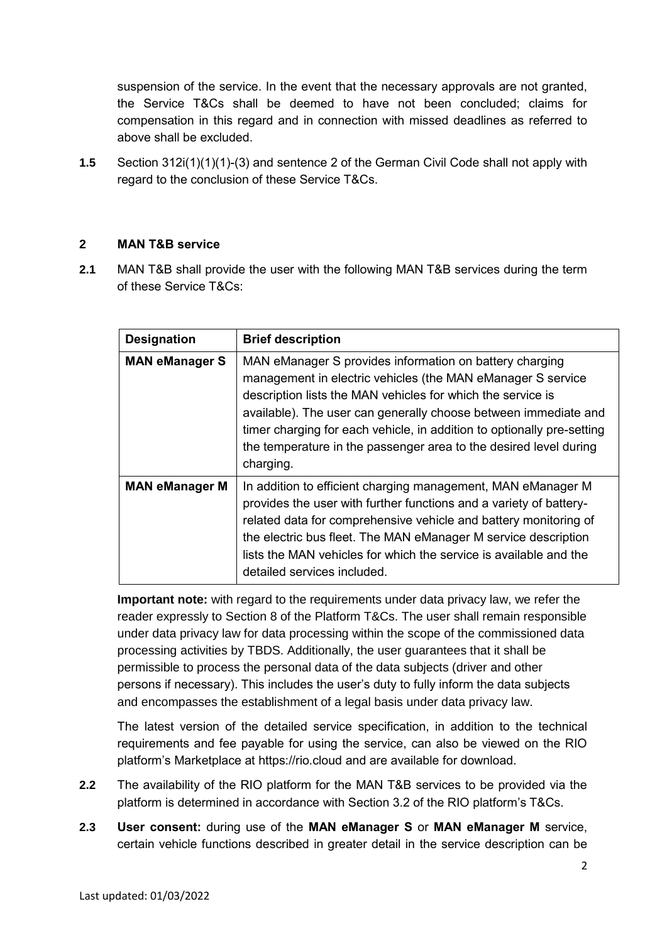suspension of the service. In the event that the necessary approvals are not granted, the Service T&Cs shall be deemed to have not been concluded; claims for compensation in this regard and in connection with missed deadlines as referred to above shall be excluded.

**1.5** Section 312i(1)(1)(1)-(3) and sentence 2 of the German Civil Code shall not apply with regard to the conclusion of these Service T&Cs.

## <span id="page-1-0"></span>**2 MAN T&B service**

**2.1** MAN T&B shall provide the user with the following MAN T&B services during the term of these Service T&Cs:

| <b>Designation</b>    | <b>Brief description</b>                                                                                                                                                                                                                                                                                                                                                                                             |
|-----------------------|----------------------------------------------------------------------------------------------------------------------------------------------------------------------------------------------------------------------------------------------------------------------------------------------------------------------------------------------------------------------------------------------------------------------|
| <b>MAN eManager S</b> | MAN eManager S provides information on battery charging<br>management in electric vehicles (the MAN eManager S service<br>description lists the MAN vehicles for which the service is<br>available). The user can generally choose between immediate and<br>timer charging for each vehicle, in addition to optionally pre-setting<br>the temperature in the passenger area to the desired level during<br>charging. |
| <b>MAN eManager M</b> | In addition to efficient charging management, MAN eManager M<br>provides the user with further functions and a variety of battery-<br>related data for comprehensive vehicle and battery monitoring of<br>the electric bus fleet. The MAN eManager M service description<br>lists the MAN vehicles for which the service is available and the<br>detailed services included.                                         |

**Important note:** with regard to the requirements under data privacy law, we refer the reader expressly to Section 8 of the Platform T&Cs. The user shall remain responsible under data privacy law for data processing within the scope of the commissioned data processing activities by TBDS. Additionally, the user guarantees that it shall be permissible to process the personal data of the data subjects (driver and other persons if necessary). This includes the user's duty to fully inform the data subjects and encompasses the establishment of a legal basis under data privacy law.

The latest version of the detailed service specification, in addition to the technical requirements and fee payable for using the service, can also be viewed on the RIO platform's Marketplace at [https://rio.cloud](https://rio.cloud/) and are available for download.

- **2.2** The availability of the RIO platform for the MAN T&B services to be provided via the platform is determined in accordance with Section 3.2 of the RIO platform's T&Cs.
- **2.3 User consent:** during use of the **MAN eManager S** or **MAN eManager M** service, certain vehicle functions described in greater detail in the service description can be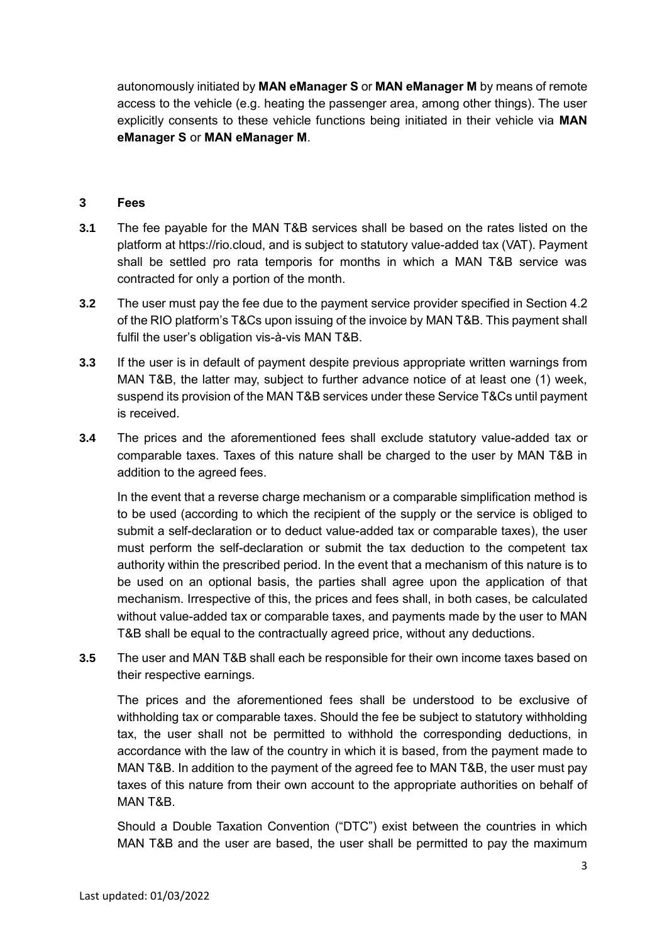autonomously initiated by **MAN eManager S** or **MAN eManager M** by means of remote access to the vehicle (e.g. heating the passenger area, among other things). The user explicitly consents to these vehicle functions being initiated in their vehicle via **MAN eManager S** or **MAN eManager M**.

#### **3 Fees**

- **3.1** The fee payable for the MAN T&B services shall be based on the rates listed on the platform at [https://rio.cloud,](https://rio.cloud/) and is subject to statutory value-added tax (VAT). Payment shall be settled pro rata temporis for months in which a MAN T&B service was contracted for only a portion of the month.
- **3.2** The user must pay the fee due to the payment service provider specified in Section 4.2 of the RIO platform's T&Cs upon issuing of the invoice by MAN T&B. This payment shall fulfil the user's obligation vis-à-vis MAN T&B.
- **3.3** If the user is in default of payment despite previous appropriate written warnings from MAN T&B, the latter may, subject to further advance notice of at least one (1) week, suspend its provision of the MAN T&B services under these Service T&Cs until payment is received.
- **3.4** The prices and the aforementioned fees shall exclude statutory value-added tax or comparable taxes. Taxes of this nature shall be charged to the user by MAN T&B in addition to the agreed fees.

In the event that a reverse charge mechanism or a comparable simplification method is to be used (according to which the recipient of the supply or the service is obliged to submit a self-declaration or to deduct value-added tax or comparable taxes), the user must perform the self-declaration or submit the tax deduction to the competent tax authority within the prescribed period. In the event that a mechanism of this nature is to be used on an optional basis, the parties shall agree upon the application of that mechanism. Irrespective of this, the prices and fees shall, in both cases, be calculated without value-added tax or comparable taxes, and payments made by the user to MAN T&B shall be equal to the contractually agreed price, without any deductions.

**3.5** The user and MAN T&B shall each be responsible for their own income taxes based on their respective earnings.

The prices and the aforementioned fees shall be understood to be exclusive of withholding tax or comparable taxes. Should the fee be subject to statutory withholding tax, the user shall not be permitted to withhold the corresponding deductions, in accordance with the law of the country in which it is based, from the payment made to MAN T&B. In addition to the payment of the agreed fee to MAN T&B, the user must pay taxes of this nature from their own account to the appropriate authorities on behalf of MAN T&B.

Should a Double Taxation Convention ("DTC") exist between the countries in which MAN T&B and the user are based, the user shall be permitted to pay the maximum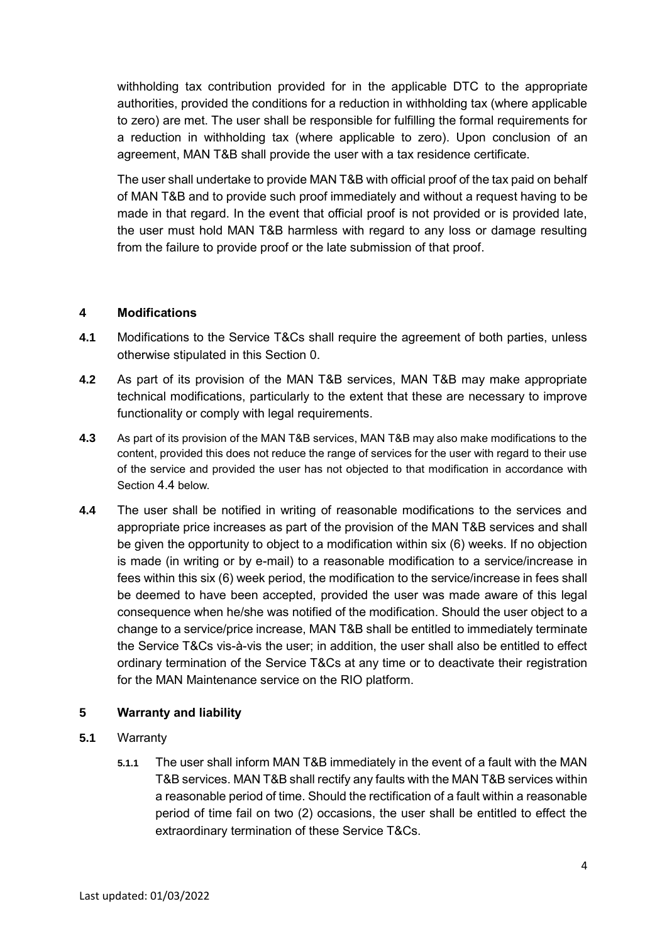withholding tax contribution provided for in the applicable DTC to the appropriate authorities, provided the conditions for a reduction in withholding tax (where applicable to zero) are met. The user shall be responsible for fulfilling the formal requirements for a reduction in withholding tax (where applicable to zero). Upon conclusion of an agreement, MAN T&B shall provide the user with a tax residence certificate.

The user shall undertake to provide MAN T&B with official proof of the tax paid on behalf of MAN T&B and to provide such proof immediately and without a request having to be made in that regard. In the event that official proof is not provided or is provided late, the user must hold MAN T&B harmless with regard to any loss or damage resulting from the failure to provide proof or the late submission of that proof.

## <span id="page-3-0"></span>**4 Modifications**

- **4.1** Modifications to the Service T&Cs shall require the agreement of both parties, unless otherwise stipulated in this Section [0.](#page-3-0)
- **4.2** As part of its provision of the MAN T&B services, MAN T&B may make appropriate technical modifications, particularly to the extent that these are necessary to improve functionality or comply with legal requirements.
- **4.3** As part of its provision of the MAN T&B services, MAN T&B may also make modifications to the content, provided this does not reduce the range of services for the user with regard to their use of the service and provided the user has not objected to that modification in accordance with Section [4.4](#page-3-1) below.
- <span id="page-3-1"></span>**4.4** The user shall be notified in writing of reasonable modifications to the services and appropriate price increases as part of the provision of the MAN T&B services and shall be given the opportunity to object to a modification within six (6) weeks. If no objection is made (in writing or by e-mail) to a reasonable modification to a service/increase in fees within this six (6) week period, the modification to the service/increase in fees shall be deemed to have been accepted, provided the user was made aware of this legal consequence when he/she was notified of the modification. Should the user object to a change to a service/price increase, MAN T&B shall be entitled to immediately terminate the Service T&Cs vis-à-vis the user; in addition, the user shall also be entitled to effect ordinary termination of the Service T&Cs at any time or to deactivate their registration for the MAN Maintenance service on the RIO platform.

# **5 Warranty and liability**

- **5.1** Warranty
	- **5.1.1** The user shall inform MAN T&B immediately in the event of a fault with the MAN T&B services. MAN T&B shall rectify any faults with the MAN T&B services within a reasonable period of time. Should the rectification of a fault within a reasonable period of time fail on two (2) occasions, the user shall be entitled to effect the extraordinary termination of these Service T&Cs.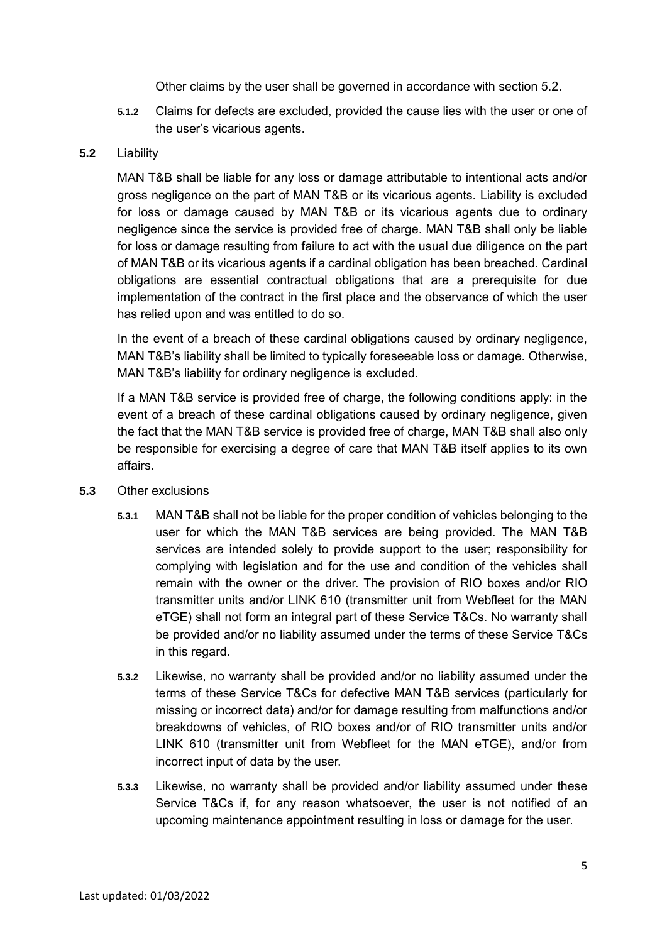Other claims by the user shall be governed in accordance with section [5.2.](#page-4-0)

**5.1.2** Claims for defects are excluded, provided the cause lies with the user or one of the user's vicarious agents.

#### <span id="page-4-0"></span>**5.2** Liability

MAN T&B shall be liable for any loss or damage attributable to intentional acts and/or gross negligence on the part of MAN T&B or its vicarious agents. Liability is excluded for loss or damage caused by MAN T&B or its vicarious agents due to ordinary negligence since the service is provided free of charge. MAN T&B shall only be liable for loss or damage resulting from failure to act with the usual due diligence on the part of MAN T&B or its vicarious agents if a cardinal obligation has been breached. Cardinal obligations are essential contractual obligations that are a prerequisite for due implementation of the contract in the first place and the observance of which the user has relied upon and was entitled to do so.

In the event of a breach of these cardinal obligations caused by ordinary negligence, MAN T&B's liability shall be limited to typically foreseeable loss or damage. Otherwise, MAN T&B's liability for ordinary negligence is excluded.

If a MAN T&B service is provided free of charge, the following conditions apply: in the event of a breach of these cardinal obligations caused by ordinary negligence, given the fact that the MAN T&B service is provided free of charge, MAN T&B shall also only be responsible for exercising a degree of care that MAN T&B itself applies to its own affairs.

- **5.3** Other exclusions
	- **5.3.1** MAN T&B shall not be liable for the proper condition of vehicles belonging to the user for which the MAN T&B services are being provided. The MAN T&B services are intended solely to provide support to the user; responsibility for complying with legislation and for the use and condition of the vehicles shall remain with the owner or the driver. The provision of RIO boxes and/or RIO transmitter units and/or LINK 610 (transmitter unit from Webfleet for the MAN eTGE) shall not form an integral part of these Service T&Cs. No warranty shall be provided and/or no liability assumed under the terms of these Service T&Cs in this regard.
	- **5.3.2** Likewise, no warranty shall be provided and/or no liability assumed under the terms of these Service T&Cs for defective MAN T&B services (particularly for missing or incorrect data) and/or for damage resulting from malfunctions and/or breakdowns of vehicles, of RIO boxes and/or of RIO transmitter units and/or LINK 610 (transmitter unit from Webfleet for the MAN eTGE), and/or from incorrect input of data by the user.
	- **5.3.3** Likewise, no warranty shall be provided and/or liability assumed under these Service T&Cs if, for any reason whatsoever, the user is not notified of an upcoming maintenance appointment resulting in loss or damage for the user.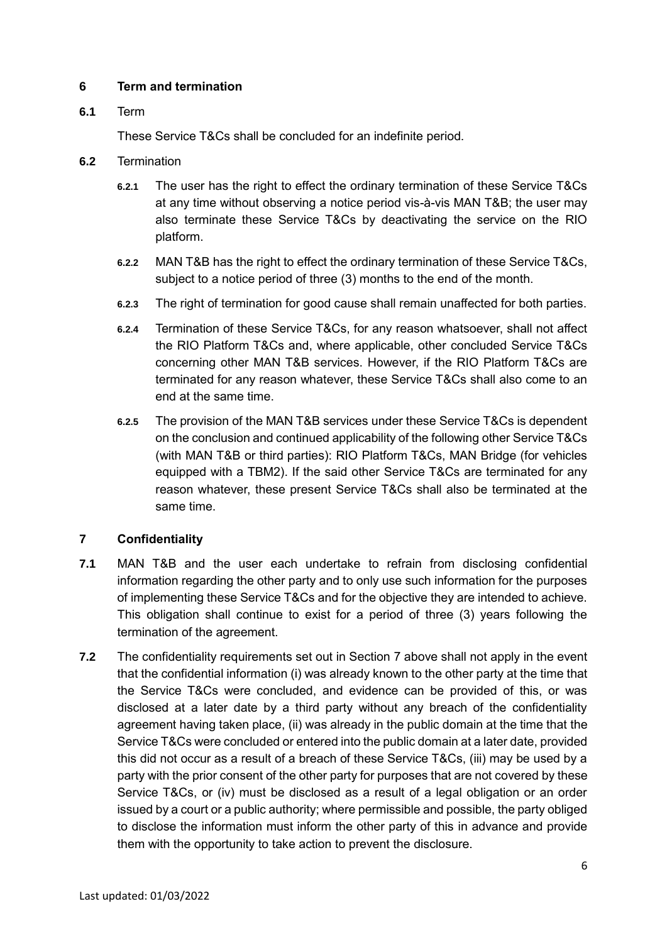## **6 Term and termination**

## **6.1** Term

These Service T&Cs shall be concluded for an indefinite period.

- **6.2** Termination
	- **6.2.1** The user has the right to effect the ordinary termination of these Service T&Cs at any time without observing a notice period vis-à-vis MAN T&B; the user may also terminate these Service T&Cs by deactivating the service on the RIO platform.
	- **6.2.2** MAN T&B has the right to effect the ordinary termination of these Service T&Cs, subject to a notice period of three (3) months to the end of the month.
	- **6.2.3** The right of termination for good cause shall remain unaffected for both parties.
	- **6.2.4** Termination of these Service T&Cs, for any reason whatsoever, shall not affect the RIO Platform T&Cs and, where applicable, other concluded Service T&Cs concerning other MAN T&B services. However, if the RIO Platform T&Cs are terminated for any reason whatever, these Service T&Cs shall also come to an end at the same time.
	- **6.2.5** The provision of the MAN T&B services under these Service T&Cs is dependent on the conclusion and continued applicability of the following other Service T&Cs (with MAN T&B or third parties): RIO Platform T&Cs, MAN Bridge (for vehicles equipped with a TBM2). If the said other Service T&Cs are terminated for any reason whatever, these present Service T&Cs shall also be terminated at the same time.

# **7 Confidentiality**

- **7.1** MAN T&B and the user each undertake to refrain from disclosing confidential information regarding the other party and to only use such information for the purposes of implementing these Service T&Cs and for the objective they are intended to achieve. This obligation shall continue to exist for a period of three (3) years following the termination of the agreement.
- **7.2** The confidentiality requirements set out in Section 7 above shall not apply in the event that the confidential information (i) was already known to the other party at the time that the Service T&Cs were concluded, and evidence can be provided of this, or was disclosed at a later date by a third party without any breach of the confidentiality agreement having taken place, (ii) was already in the public domain at the time that the Service T&Cs were concluded or entered into the public domain at a later date, provided this did not occur as a result of a breach of these Service T&Cs, (iii) may be used by a party with the prior consent of the other party for purposes that are not covered by these Service T&Cs, or (iv) must be disclosed as a result of a legal obligation or an order issued by a court or a public authority; where permissible and possible, the party obliged to disclose the information must inform the other party of this in advance and provide them with the opportunity to take action to prevent the disclosure.